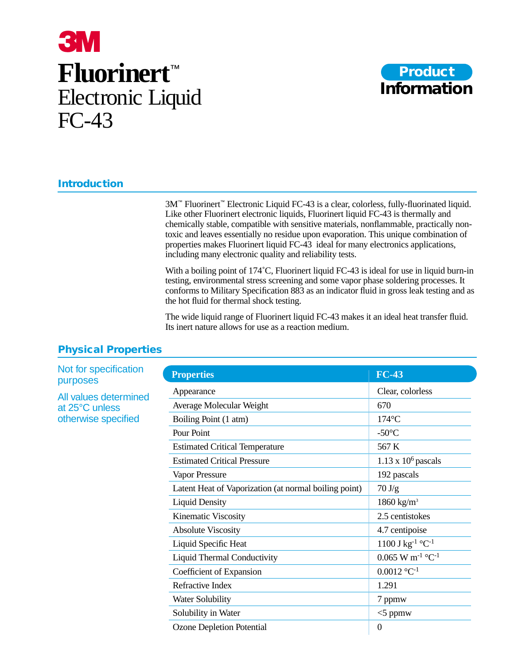# **3M Fluorinert**™ Electronic Liquid FC-43



# **Introduction**

3M™ Fluorinert™ Electronic Liquid FC-43 is a clear, colorless, fully-fluorinated liquid. Like other Fluorinert electronic liquids, Fluorinert liquid FC-43 is thermally and chemically stable, compatible with sensitive materials, nonflammable, practically nontoxic and leaves essentially no residue upon evaporation. This unique combination of properties makes Fluorinert liquid FC-43 ideal for many electronics applications, including many electronic quality and reliability tests.

With a boiling point of 174°C, Fluorinert liquid FC-43 is ideal for use in liquid burn-in testing, environmental stress screening and some vapor phase soldering processes. It conforms to Military Specification 883 as an indicator fluid in gross leak testing and as the hot fluid for thermal shock testing.

The wide liquid range of Fluorinert liquid FC-43 makes it an ideal heat transfer fluid. Its inert nature allows for use as a reaction medium.

| <b>Properties</b>                                     | <b>FC-43</b>                               |
|-------------------------------------------------------|--------------------------------------------|
| Appearance                                            | Clear, colorless                           |
| Average Molecular Weight                              | 670                                        |
| Boiling Point (1 atm)                                 | $174^{\circ}$ C                            |
| Pour Point                                            | $-50^{\circ}$ C                            |
| <b>Estimated Critical Temperature</b>                 | 567 K                                      |
| <b>Estimated Critical Pressure</b>                    | $1.13 \times 10^6$ pascals                 |
| Vapor Pressure                                        | 192 pascals                                |
| Latent Heat of Vaporization (at normal boiling point) | $70 \text{ J/g}$                           |
| <b>Liquid Density</b>                                 | 1860 kg/m <sup>3</sup>                     |
| Kinematic Viscosity                                   | 2.5 centistokes                            |
| <b>Absolute Viscosity</b>                             | 4.7 centipoise                             |
| Liquid Specific Heat                                  | $1100$ J kg <sup>-1</sup> °C <sup>-1</sup> |
| <b>Liquid Thermal Conductivity</b>                    | $0.065$ W m <sup>-1</sup> °C <sup>-1</sup> |
| Coefficient of Expansion                              | $0.0012$ °C <sup>-1</sup>                  |
| <b>Refractive Index</b>                               | 1.291                                      |
| <b>Water Solubility</b>                               | 7 ppmw                                     |
| Solubility in Water                                   | $<$ 5 ppmw                                 |
| <b>Ozone Depletion Potential</b>                      | $\Omega$                                   |

## **Physical Properties**

Not for specification purposes

All values determined at 25°C unless otherwise specified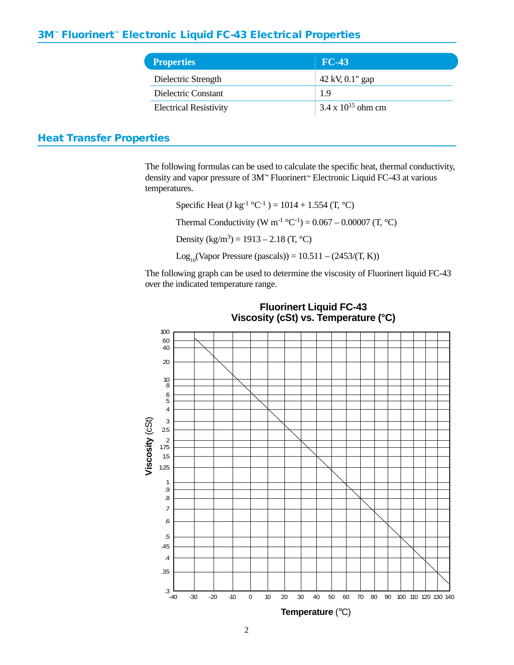## **3M**™ **Fluorinert**™ **Electronic Liquid FC-43 Electrical Properties**

| <b>Properties</b>             | $FC-43$                     |
|-------------------------------|-----------------------------|
| Dielectric Strength           | $42 \text{ kV}, 0.1$ " gap  |
| Dielectric Constant           | 1.9                         |
| <b>Electrical Resistivity</b> | $3.4 \times 10^{15}$ ohm cm |

# **Heat Transfer Properties**

The following formulas can be used to calculate the specific heat, thermal conductivity, density and vapor pressure of 3M™ Fluorinert™ Electronic Liquid FC-43 at various temperatures.

Specific Heat (J kg<sup>-1</sup> °C<sup>-1</sup>) = 1014 + 1.554 (T, °C) Thermal Conductivity (W m<sup>-1</sup> °C<sup>-1</sup>) =  $0.067 - 0.00007$  (T, °C) Density (kg/m<sup>3</sup>) = 1913 – 2.18 (T, °C) Log<sub>10</sub>(Vapor Pressure (pascals)) =  $10.511 - (2453/(T, K))$ 

The following graph can be used to determine the viscosity of Fluorinert liquid FC-43 over the indicated temperature range.



## **Fluorinert Liquid FC-43 Viscosity (cSt) vs. Temperature (°C)**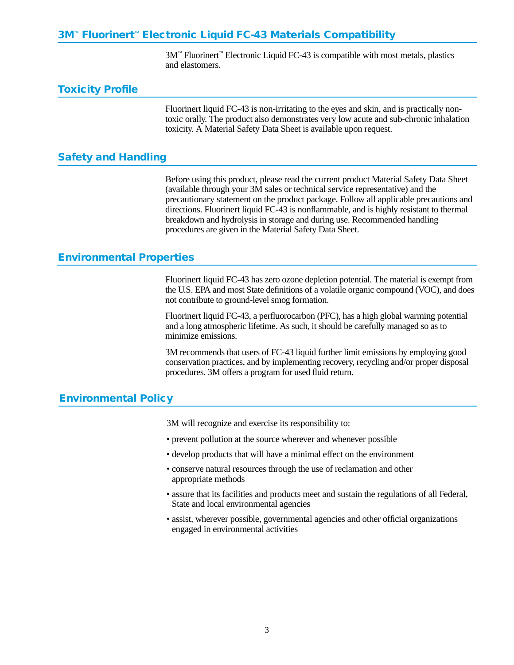# **3M**™ **Fluorinert**™ **Electronic Liquid FC-43 Materials Compatibility**

3M™ Fluorinert™ Electronic Liquid FC-43 is compatible with most metals, plastics and elastomers.

#### **Toxicity Profile**

Fluorinert liquid FC-43 is non-irritating to the eyes and skin, and is practically nontoxic orally. The product also demonstrates very low acute and sub-chronic inhalation toxicity. A Material Safety Data Sheet is available upon request.

#### **Safety and Handling**

Before using this product, please read the current product Material Safety Data Sheet (available through your 3M sales or technical service representative) and the precautionary statement on the product package. Follow all applicable precautions and directions. Fluorinert liquid FC-43 is nonflammable, and is highly resistant to thermal breakdown and hydrolysis in storage and during use. Recommended handling procedures are given in the Material Safety Data Sheet.

#### **Environmental Properties**

Fluorinert liquid FC-43 has zero ozone depletion potential. The material is exempt from the U.S. EPA and most State definitions of a volatile organic compound (VOC), and does not contribute to ground-level smog formation.

Fluorinert liquid FC-43, a perfluorocarbon (PFC), has a high global warming potential and a long atmospheric lifetime. As such, it should be carefully managed so as to minimize emissions.

3M recommends that users of FC-43 liquid further limit emissions by employing good conservation practices, and by implementing recovery, recycling and/or proper disposal procedures. 3M offers a program for used fluid return.

## **Environmental Policy**

3M will recognize and exercise its responsibility to:

- prevent pollution at the source wherever and whenever possible
- develop products that will have a minimal effect on the environment
- conserve natural resources through the use of reclamation and other appropriate methods
- assure that its facilities and products meet and sustain the regulations of all Federal, State and local environmental agencies
- assist, wherever possible, governmental agencies and other official organizations engaged in environmental activities